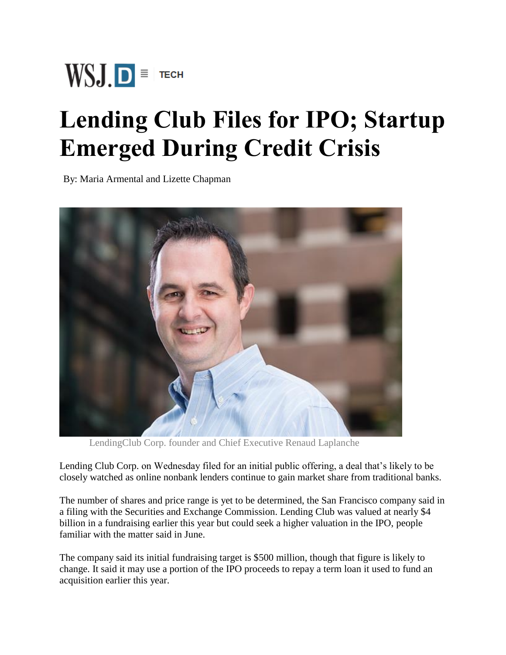

## **Lending Club Files for IPO; Startup Emerged During Credit Crisis**

By: Maria Armental and Lizette Chapman



LendingClub Corp. founder and Chief Executive Renaud Laplanche

Lending Club Corp. on Wednesday filed for an initial public offering, a deal that's likely to be closely watched as online nonbank lenders continue to gain market share from traditional banks.

The number of shares and price range is yet to be determined, the San Francisco company said in a filing with the Securities and Exchange Commission. Lending Club was valued at nearly \$4 billion in a fundraising earlier this year but could seek a higher valuation in the IPO, people familiar with the matter said in June.

The company said its initial fundraising target is \$500 million, though that figure is likely to change. It said it may use a portion of the IPO proceeds to repay a term loan it used to fund an acquisition earlier this year.